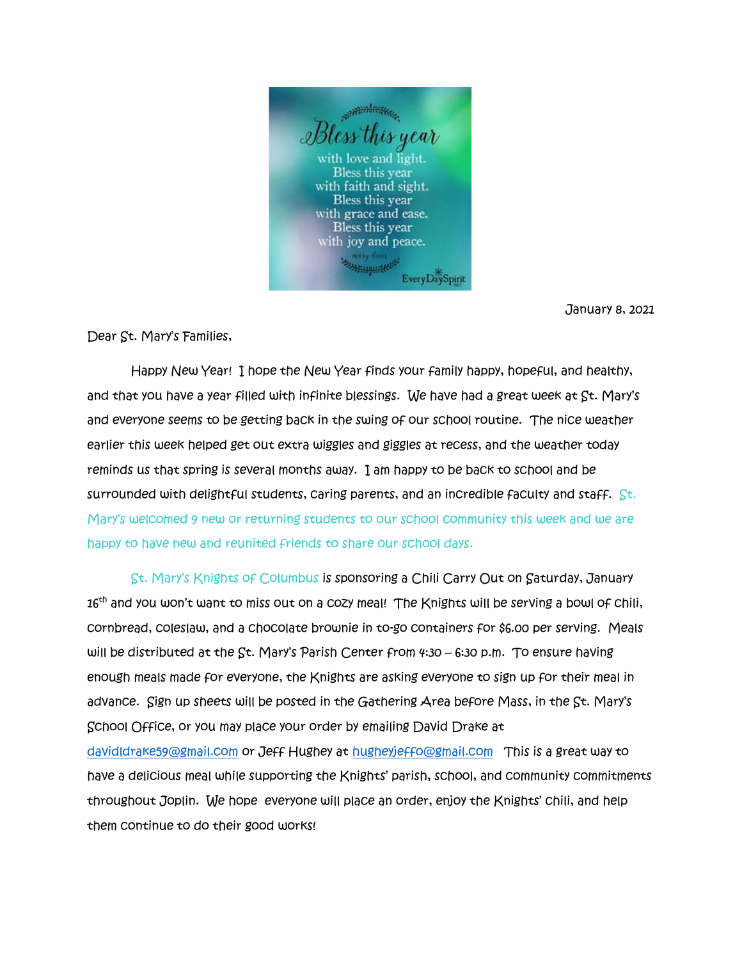

January 8, 2021

Dear St. Mary's Families,

 Happy New Year! I hope the New Year finds your family happy, hopeful, and healthy, and that you have a year filled with infinite blessings. We have had a great week at St. Mary's and everyone seems to be getting back in the swing of our school routine. The nice weather earlier this week helped get out extra wiggles and giggles at recess, and the weather today reminds us that spring is several months away. I am happy to be back to school and be surrounded with delightful students, caring parents, and an incredible faculty and staff.  $\mathbb{S}^{\mathsf{t}}$ . Mary's welcomed 9 new or returning students to our school community this week and we are happy to have new and reunited friends to share our school days.

 St. Mary's Knights of Columbus is sponsoring a Chili Carry Out on Saturday, January 16<sup>th</sup> and you won't want to miss out on a cozy meal! The Knights will be serving a bowl of chili, cornbread, coleslaw, and a chocolate brownie in to-go containers for \$6.00 per serving. Meals will be distributed at the St. Mary's Parish Center from 4:30 – 6:30 p.m. To ensure having enough meals made for everyone, the Knights are asking everyone to sign up for their meal in advance. Sign up sheets will be posted in the Gathering Area before Mass, in the St. Mary's School Office, or you may place your order by emailing David Drake at

[davidldrake59@gmail.com](mailto:davidldrake59@gmail.com) or Jeff Hughey at [hugheyjeffo@gmail.com](mailto:hugheyjeffo@gmail.com) This is a great way to have a delicious meal while supporting the Knights' parish, school, and community commitments throughout Joplin. We hope everyone will place an order, enjoy the Knights' chili, and help them continue to do their good works!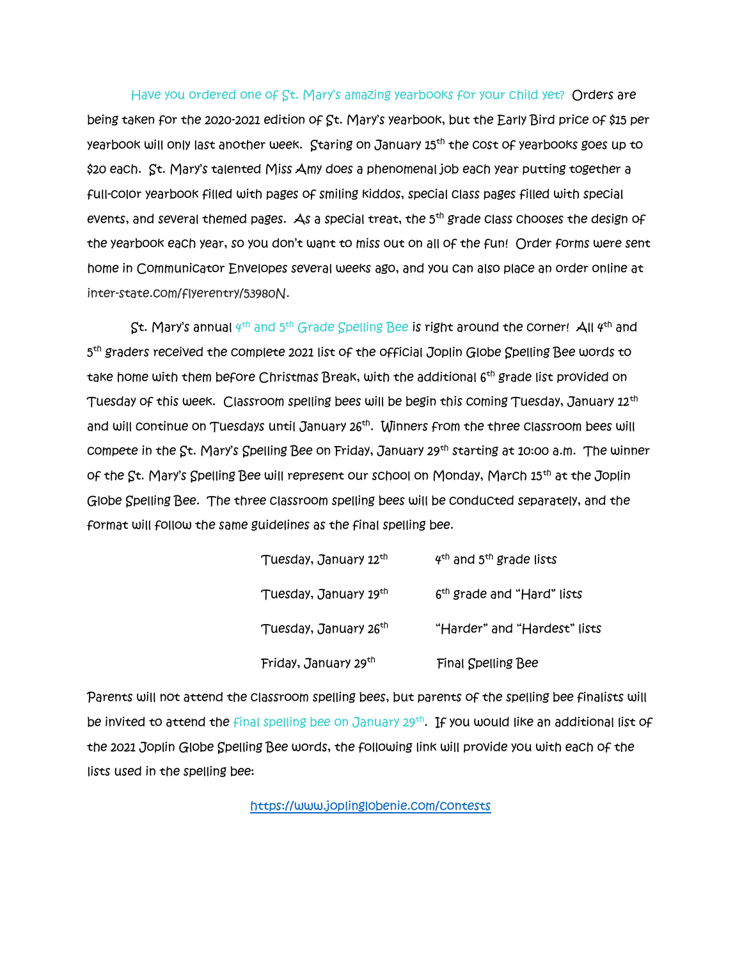Have you ordered one of St. Mary's amazing yearbooks for your child yet? Orders are being taken for the 2020-2021 edition of St. Mary's yearbook, but the Early Bird price of \$15 per yearbook will only last another week. Staring on January 15th the cost of yearbooks goes up to \$20 each. St. Mary's talented Miss Amy does a phenomenal job each year putting together a full-color yearbook filled with pages of smiling kiddos, special class pages filled with special events, and several themed pages. As a special treat, the  $5<sup>th</sup>$  grade class chooses the design of the yearbook each year, so you don't want to miss out on all of the fun! Order forms were sent home in Communicator Envelopes several weeks ago, and you can also place an order online at inter-state.com/flyerentry/53980N.

St. Mary's annual  $4^\text{th}$  and  $5^\text{th}$  Grade Spelling Bee is right around the corner! All  $4^\text{th}$  and 5 th graders received the complete 2021 list of the official Joplin Globe Spelling Bee words to take home with them before Christmas Break, with the additional 6<sup>th</sup> grade list provided on Tuesday of this week. Classroom spelling bees will be begin this coming Tuesday, January 12<sup>th</sup> and will continue on Tuesdays until January 26<sup>th</sup>. Winners from the three classroom bees will compete in the  $\mathcal{S}$ t. Mary's Spelling Bee on Friday, January 29<sup>th</sup> starting at 10:00 a.m. The winner of the St. Mary's Spelling Bee will represent our school on Monday, March 15th at the Joplin Globe Spelling Bee. The three classroom spelling bees will be conducted separately, and the format will follow the same guidelines as the final spelling bee.

| Tuesday, January 12th             | $4th$ and $5th$ grade lists            |
|-----------------------------------|----------------------------------------|
| Tuesday, January 19th             | 6 <sup>th</sup> grade and "Hard" lists |
| Tuesday, January 26 <sup>th</sup> | "Harder" and "Hardest" lists           |
| Friday, January 29th              | <b>Final Spelling Bee</b>              |

Parents will not attend the classroom spelling bees, but parents of the spelling bee finalists will be invited to attend the final spelling bee on January 29<sup>th</sup>. If you would like an additional list of the 2021 Joplin Globe Spelling Bee words, the following link will provide you with each of the lists used in the spelling bee:

<https://www.joplinglobenie.com/contests>